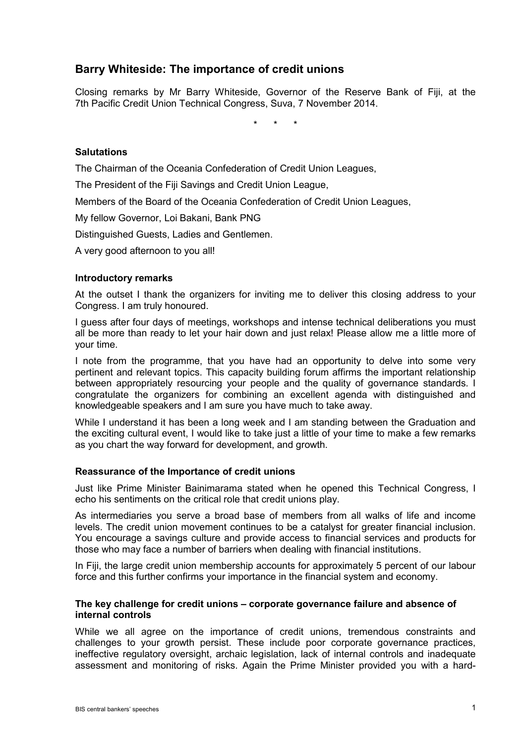# **Barry Whiteside: The importance of credit unions**

Closing remarks by Mr Barry Whiteside, Governor of the Reserve Bank of Fiji, at the 7th Pacific Credit Union Technical Congress, Suva, 7 November 2014.

\* \* \*

# **Salutations**

The Chairman of the Oceania Confederation of Credit Union Leagues,

The President of the Fiji Savings and Credit Union League,

Members of the Board of the Oceania Confederation of Credit Union Leagues,

My fellow Governor, Loi Bakani, Bank PNG

Distinguished Guests, Ladies and Gentlemen.

A very good afternoon to you all!

#### **Introductory remarks**

At the outset I thank the organizers for inviting me to deliver this closing address to your Congress. I am truly honoured.

I guess after four days of meetings, workshops and intense technical deliberations you must all be more than ready to let your hair down and just relax! Please allow me a little more of your time.

I note from the programme, that you have had an opportunity to delve into some very pertinent and relevant topics. This capacity building forum affirms the important relationship between appropriately resourcing your people and the quality of governance standards. I congratulate the organizers for combining an excellent agenda with distinguished and knowledgeable speakers and I am sure you have much to take away.

While I understand it has been a long week and I am standing between the Graduation and the exciting cultural event, I would like to take just a little of your time to make a few remarks as you chart the way forward for development, and growth.

#### **Reassurance of the Importance of credit unions**

Just like Prime Minister Bainimarama stated when he opened this Technical Congress, I echo his sentiments on the critical role that credit unions play.

As intermediaries you serve a broad base of members from all walks of life and income levels. The credit union movement continues to be a catalyst for greater financial inclusion. You encourage a savings culture and provide access to financial services and products for those who may face a number of barriers when dealing with financial institutions.

In Fiji, the large credit union membership accounts for approximately 5 percent of our labour force and this further confirms your importance in the financial system and economy.

#### **The key challenge for credit unions – corporate governance failure and absence of internal controls**

While we all agree on the importance of credit unions, tremendous constraints and challenges to your growth persist. These include poor corporate governance practices, ineffective regulatory oversight, archaic legislation, lack of internal controls and inadequate assessment and monitoring of risks. Again the Prime Minister provided you with a hard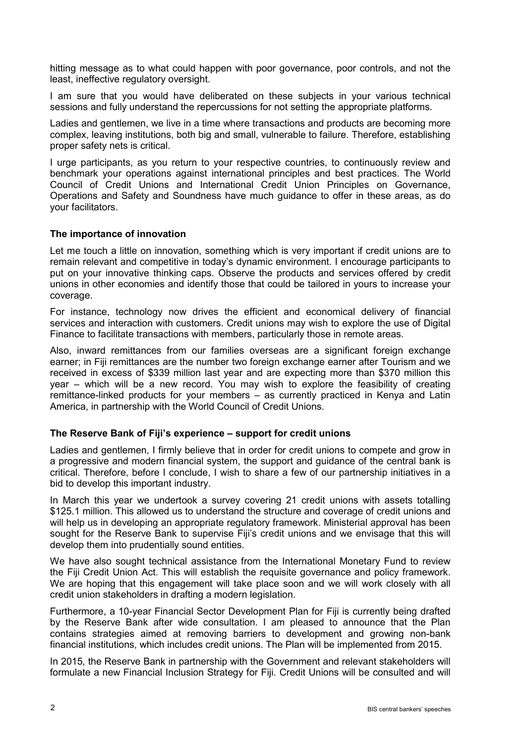hitting message as to what could happen with poor governance, poor controls, and not the least, ineffective regulatory oversight.

I am sure that you would have deliberated on these subjects in your various technical sessions and fully understand the repercussions for not setting the appropriate platforms.

Ladies and gentlemen, we live in a time where transactions and products are becoming more complex, leaving institutions, both big and small, vulnerable to failure. Therefore, establishing proper safety nets is critical.

I urge participants, as you return to your respective countries, to continuously review and benchmark your operations against international principles and best practices. The World Council of Credit Unions and International Credit Union Principles on Governance, Operations and Safety and Soundness have much guidance to offer in these areas, as do your facilitators.

# **The importance of innovation**

Let me touch a little on innovation, something which is very important if credit unions are to remain relevant and competitive in today's dynamic environment. I encourage participants to put on your innovative thinking caps. Observe the products and services offered by credit unions in other economies and identify those that could be tailored in yours to increase your coverage.

For instance, technology now drives the efficient and economical delivery of financial services and interaction with customers. Credit unions may wish to explore the use of Digital Finance to facilitate transactions with members, particularly those in remote areas.

Also, inward remittances from our families overseas are a significant foreign exchange earner; in Fiji remittances are the number two foreign exchange earner after Tourism and we received in excess of \$339 million last year and are expecting more than \$370 million this year – which will be a new record. You may wish to explore the feasibility of creating remittance-linked products for your members – as currently practiced in Kenya and Latin America, in partnership with the World Council of Credit Unions.

# **The Reserve Bank of Fiji's experience – support for credit unions**

Ladies and gentlemen, I firmly believe that in order for credit unions to compete and grow in a progressive and modern financial system, the support and guidance of the central bank is critical. Therefore, before I conclude, I wish to share a few of our partnership initiatives in a bid to develop this important industry.

In March this year we undertook a survey covering 21 credit unions with assets totalling \$125.1 million. This allowed us to understand the structure and coverage of credit unions and will help us in developing an appropriate regulatory framework. Ministerial approval has been sought for the Reserve Bank to supervise Fiji's credit unions and we envisage that this will develop them into prudentially sound entities.

We have also sought technical assistance from the International Monetary Fund to review the Fiji Credit Union Act. This will establish the requisite governance and policy framework. We are hoping that this engagement will take place soon and we will work closely with all credit union stakeholders in drafting a modern legislation.

Furthermore, a 10-year Financial Sector Development Plan for Fiji is currently being drafted by the Reserve Bank after wide consultation. I am pleased to announce that the Plan contains strategies aimed at removing barriers to development and growing non-bank financial institutions, which includes credit unions. The Plan will be implemented from 2015.

In 2015, the Reserve Bank in partnership with the Government and relevant stakeholders will formulate a new Financial Inclusion Strategy for Fiji. Credit Unions will be consulted and will